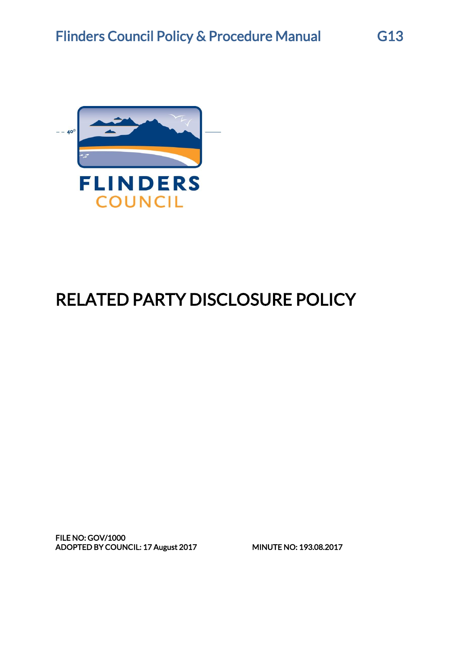

# RELATED PARTY DISCLOSURE POLICY

FILE NO: GOV/1000 ADOPTED BY COUNCIL: 17 August 2017 MINUTE NO: 193.08.2017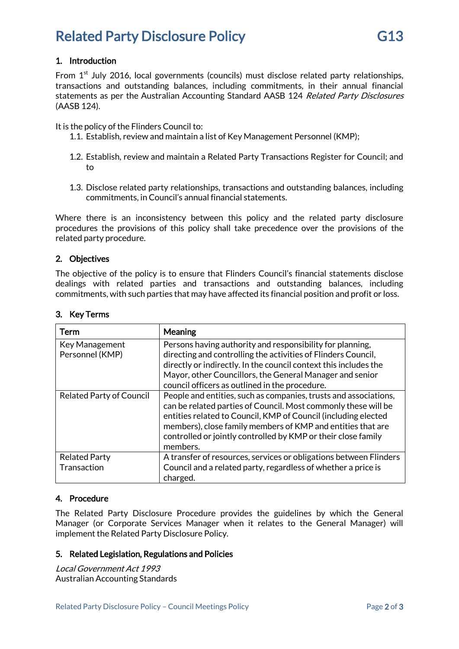### Related Party Disclosure Policy **G13**

From  $1<sup>st</sup>$  July 2016, local governments (councils) must disclose related party relationships, transactions and outstanding balances, including commitments, in their annual financial statements as per the Australian Accounting Standard AASB 124 Related Party Disclosures (AASB 124).

It is the policy of the Flinders Council to:

- 1.1. Establish, review and maintain a list of Key Management Personnel (KMP);
- 1.2. Establish, review and maintain a Related Party Transactions Register for Council; and to
- 1.3. Disclose related party relationships, transactions and outstanding balances, including commitments, in Council's annual financial statements.

Where there is an inconsistency between this policy and the related party disclosure procedures the provisions of this policy shall take precedence over the provisions of the related party procedure.

#### 2. Objectives

The objective of the policy is to ensure that Flinders Council's financial statements disclose dealings with related parties and transactions and outstanding balances, including commitments, with such parties that may have affected its financial position and profit or loss.

| Term                                | <b>Meaning</b>                                                                                                                                                                                                                                                                                                                                   |
|-------------------------------------|--------------------------------------------------------------------------------------------------------------------------------------------------------------------------------------------------------------------------------------------------------------------------------------------------------------------------------------------------|
| Key Management<br>Personnel (KMP)   | Persons having authority and responsibility for planning,<br>directing and controlling the activities of Flinders Council,<br>directly or indirectly. In the council context this includes the<br>Mayor, other Councillors, the General Manager and senior<br>council officers as outlined in the procedure.                                     |
| <b>Related Party of Council</b>     | People and entities, such as companies, trusts and associations,<br>can be related parties of Council. Most commonly these will be<br>entities related to Council, KMP of Council (including elected<br>members), close family members of KMP and entities that are<br>controlled or jointly controlled by KMP or their close family<br>members. |
| <b>Related Party</b><br>Transaction | A transfer of resources, services or obligations between Flinders<br>Council and a related party, regardless of whether a price is<br>charged.                                                                                                                                                                                                   |

#### 3. Key Terms

#### 4. Procedure

The Related Party Disclosure Procedure provides the guidelines by which the General Manager (or Corporate Services Manager when it relates to the General Manager) will implement the Related Party Disclosure Policy.

#### 5. Related Legislation, Regulations and Policies

Local Government Act 1993 Australian Accounting Standards